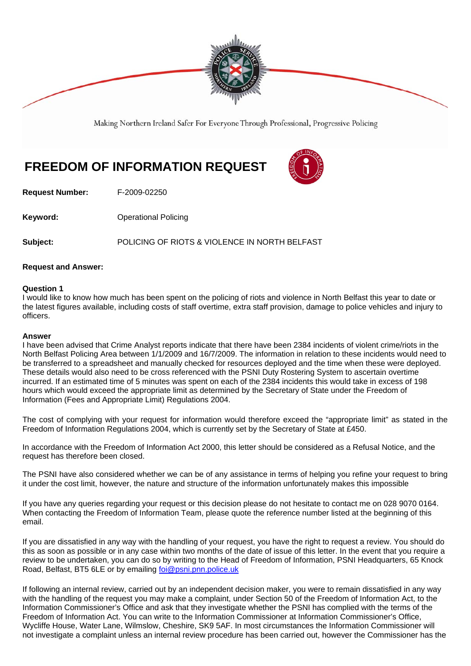

Making Northern Ireland Safer For Everyone Through Professional, Progressive Policing

## **FREEDOM OF INFORMATION REQUEST**



**Request Number:** F-2009-02250

**Keyword: Conservery Operational Policing** 

**Subject:** POLICING OF RIOTS & VIOLENCE IN NORTH BELFAST

## **Request and Answer:**

## **Question 1**

I would like to know how much has been spent on the policing of riots and violence in North Belfast this year to date or the latest figures available, including costs of staff overtime, extra staff provision, damage to police vehicles and injury to officers.

## **Answer**

I have been advised that Crime Analyst reports indicate that there have been 2384 incidents of violent crime/riots in the North Belfast Policing Area between 1/1/2009 and 16/7/2009. The information in relation to these incidents would need to be transferred to a spreadsheet and manually checked for resources deployed and the time when these were deployed. These details would also need to be cross referenced with the PSNI Duty Rostering System to ascertain overtime incurred. If an estimated time of 5 minutes was spent on each of the 2384 incidents this would take in excess of 198 hours which would exceed the appropriate limit as determined by the Secretary of State under the Freedom of Information (Fees and Appropriate Limit) Regulations 2004.

The cost of complying with your request for information would therefore exceed the "appropriate limit" as stated in the Freedom of Information Regulations 2004, which is currently set by the Secretary of State at £450.

In accordance with the Freedom of Information Act 2000, this letter should be considered as a Refusal Notice, and the request has therefore been closed.

The PSNI have also considered whether we can be of any assistance in terms of helping you refine your request to bring it under the cost limit, however, the nature and structure of the information unfortunately makes this impossible

If you have any queries regarding your request or this decision please do not hesitate to contact me on 028 9070 0164. When contacting the Freedom of Information Team, please quote the reference number listed at the beginning of this email.

If you are dissatisfied in any way with the handling of your request, you have the right to request a review. You should do this as soon as possible or in any case within two months of the date of issue of this letter. In the event that you require a review to be undertaken, you can do so by writing to the Head of Freedom of Information, PSNI Headquarters, 65 Knock Road, Belfast, BT5 6LE or by emailing foi@psni.pnn.police.uk

If following an internal review, carried out by an independent decision maker, you were to remain dissatisfied in any way with the handling of the request you may make a complaint, under Section 50 of the Freedom of Information Act, to the Information Commissioner's Office and ask that they investigate whether the PSNI has complied with the terms of the Freedom of Information Act. You can write to the Information Commissioner at Information Commissioner's Office, Wycliffe House, Water Lane, Wilmslow, Cheshire, SK9 5AF. In most circumstances the Information Commissioner will not investigate a complaint unless an internal review procedure has been carried out, however the Commissioner has the